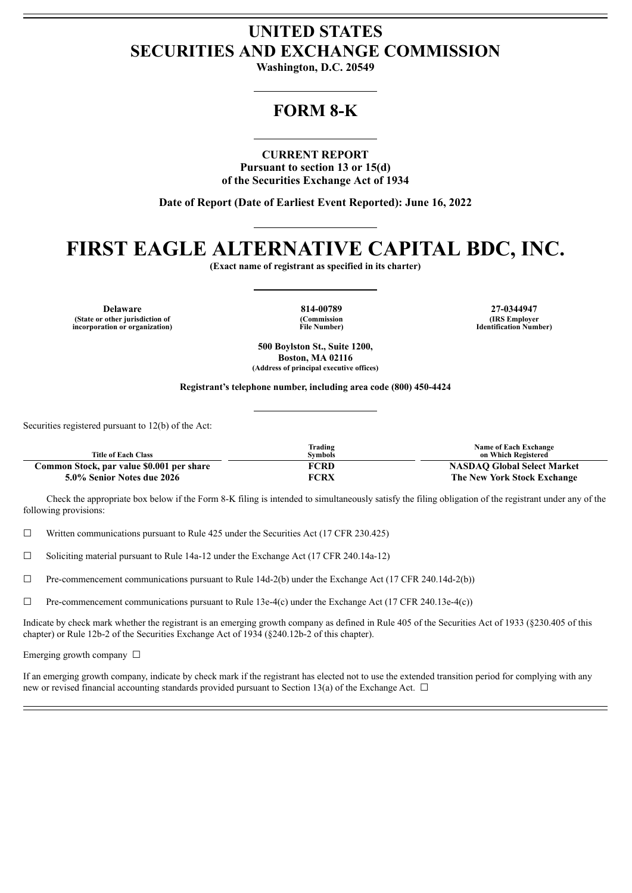## **UNITED STATES SECURITIES AND EXCHANGE COMMISSION**

**Washington, D.C. 20549**

## **FORM 8-K**

### **CURRENT REPORT**

**Pursuant to section 13 or 15(d) of the Securities Exchange Act of 1934**

**Date of Report (Date of Earliest Event Reported): June 16, 2022**

# **FIRST EAGLE ALTERNATIVE CAPITAL BDC, INC.**

**(Exact name of registrant as specified in its charter)**

**Delaware 814-00789 27-0344947 (State or other jurisdiction of incorporation or organization)**

**(Commission File Number)**

**(IRS Employer Identification Number)**

**500 Boylston St., Suite 1200, Boston, MA 02116 (Address of principal executive offices)**

**Registrant's telephone number, including area code (800) 450-4424**

Securities registered pursuant to 12(b) of the Act:

| <b>Title of Each Class</b>                | Trading<br>Symbols | <b>Name of Each Exchange</b><br>on Which Registered |
|-------------------------------------------|--------------------|-----------------------------------------------------|
| Common Stock, par value \$0.001 per share | <b>FCRD</b>        | <b>NASDAO Global Select Market</b>                  |
| 5.0% Senior Notes due 2026                | <b>FCRX</b>        | The New York Stock Exchange                         |

Check the appropriate box below if the Form 8-K filing is intended to simultaneously satisfy the filing obligation of the registrant under any of the following provisions:

☐ Written communications pursuant to Rule 425 under the Securities Act (17 CFR 230.425)

☐ Soliciting material pursuant to Rule 14a-12 under the Exchange Act (17 CFR 240.14a-12)

 $\Box$  Pre-commencement communications pursuant to Rule 14d-2(b) under the Exchange Act (17 CFR 240.14d-2(b))

☐ Pre-commencement communications pursuant to Rule 13e-4(c) under the Exchange Act (17 CFR 240.13e-4(c))

Indicate by check mark whether the registrant is an emerging growth company as defined in Rule 405 of the Securities Act of 1933 (§230.405 of this chapter) or Rule 12b-2 of the Securities Exchange Act of 1934 (§240.12b-2 of this chapter).

Emerging growth company □

If an emerging growth company, indicate by check mark if the registrant has elected not to use the extended transition period for complying with any new or revised financial accounting standards provided pursuant to Section 13(a) of the Exchange Act.  $\Box$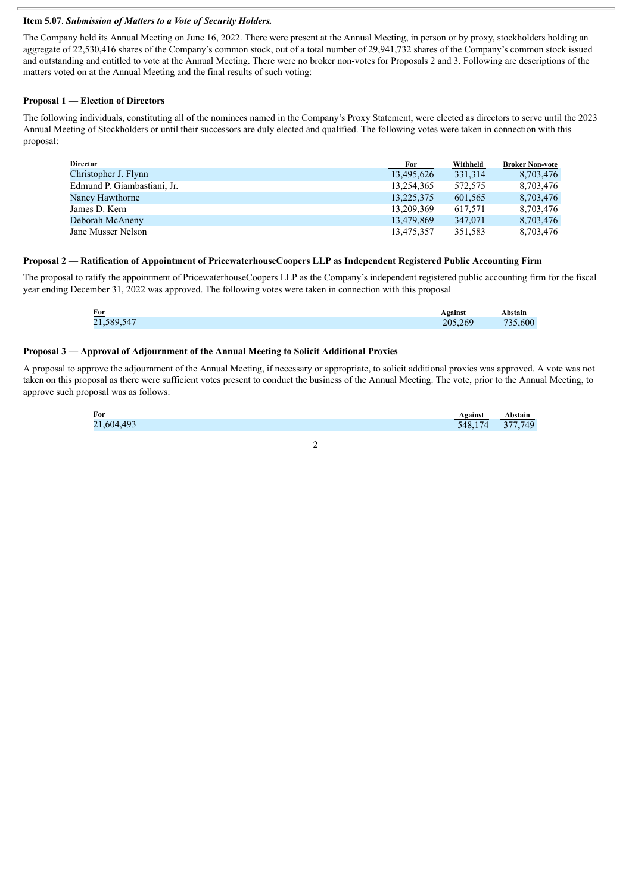#### **Item 5.07**. *Submission of Matters to a Vote of Security Holders.*

The Company held its Annual Meeting on June 16, 2022. There were present at the Annual Meeting, in person or by proxy, stockholders holding an aggregate of 22,530,416 shares of the Company's common stock, out of a total number of 29,941,732 shares of the Company's common stock issued and outstanding and entitled to vote at the Annual Meeting. There were no broker non-votes for Proposals 2 and 3. Following are descriptions of the matters voted on at the Annual Meeting and the final results of such voting:

#### **Proposal 1 — Election of Directors**

The following individuals, constituting all of the nominees named in the Company's Proxy Statement, were elected as directors to serve until the 2023 Annual Meeting of Stockholders or until their successors are duly elected and qualified. The following votes were taken in connection with this proposal:

| Director                    | For        | Withheld | <b>Broker Non-vote</b> |
|-----------------------------|------------|----------|------------------------|
| Christopher J. Flynn        | 13,495,626 | 331,314  | 8,703,476              |
| Edmund P. Giambastiani, Jr. | 13,254,365 | 572.575  | 8,703,476              |
| Nancy Hawthorne             | 13,225,375 | 601,565  | 8,703,476              |
| James D. Kern               | 13,209,369 | 617.571  | 8,703,476              |
| Deborah McAneny             | 13,479,869 | 347,071  | 8,703,476              |
| Jane Musser Nelson          | 13,475,357 | 351,583  | 8,703,476              |

#### **Proposal 2 — Ratification of Appointment of PricewaterhouseCoopers LLP as Independent Registered Public Accounting Firm**

The proposal to ratify the appointment of PricewaterhouseCoopers LLP as the Company's independent registered public accounting firm for the fiscal year ending December 31, 2022 was approved. The following votes were taken in connection with this proposal

| $For$<br>21,589,547<br>$\sim$ $\sim$ $\sim$<br>205,269 | \bstain          |
|--------------------------------------------------------|------------------|
|                                                        | 600 <sup>1</sup> |

#### **Proposal 3 — Approval of Adjournment of the Annual Meeting to Solicit Additional Proxies**

A proposal to approve the adjournment of the Annual Meeting, if necessary or appropriate, to solicit additional proxies was approved. A vote was not taken on this proposal as there were sufficient votes present to conduct the business of the Annual Meeting. The vote, prior to the Annual Meeting, to approve such proposal was as follows:

| <b>For</b> | Against | Abstain |
|------------|---------|---------|
| 21,604,493 | 548.174 | 377,749 |
|            |         |         |

2